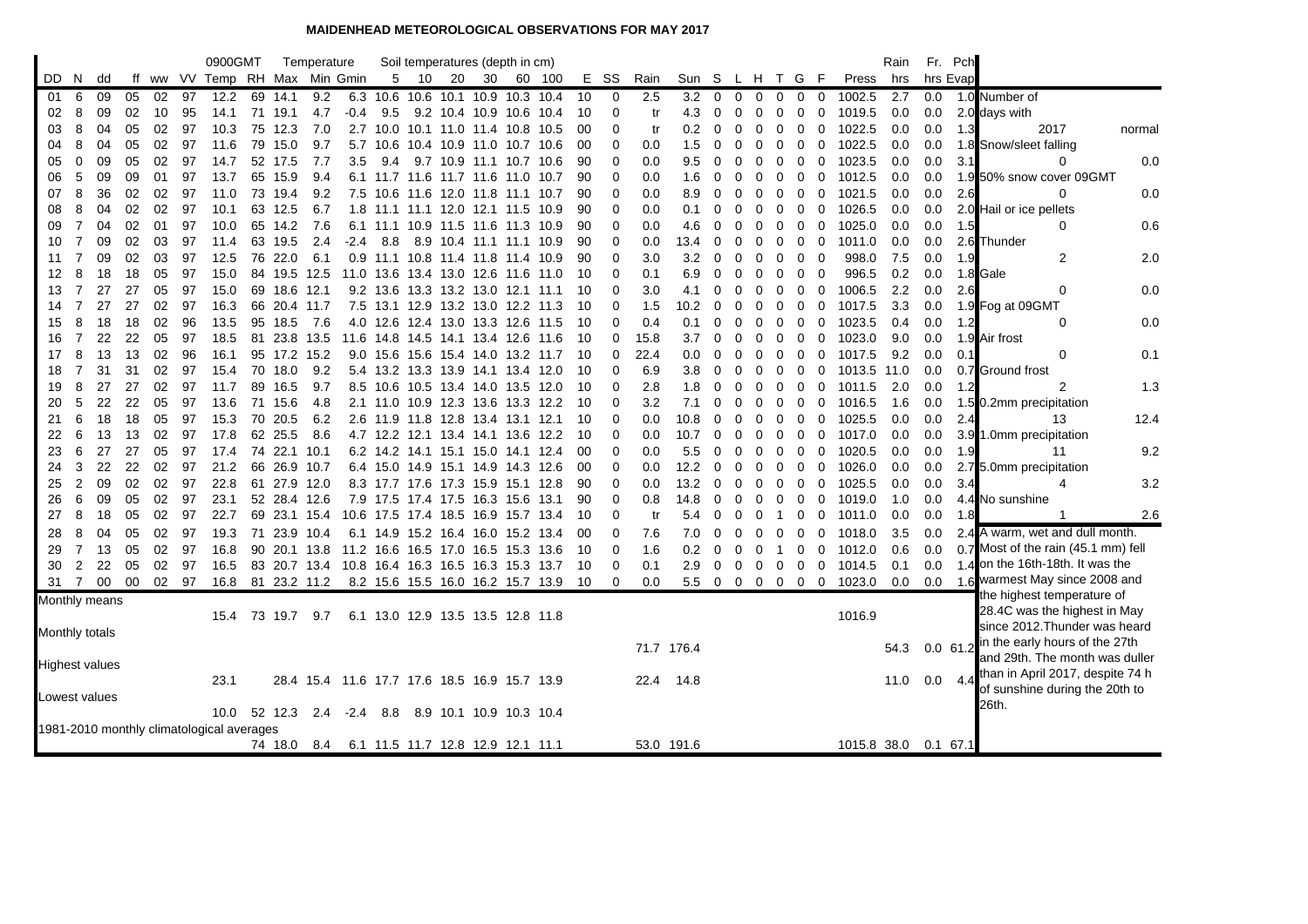## **MAIDENHEAD METEOROLOGICAL OBSERVATIONS FOR MAY 2017**

|                                           |                |    |    |    |       | 0900GMT                    |    |              | Temperature                                   |        |      | Soil temperatures (depth in cm)    |      |                         |           |        |     |             |      |            |                |             |             |                            |                   |                        | Rain | Fr. Pch     |     |                                                                    |
|-------------------------------------------|----------------|----|----|----|-------|----------------------------|----|--------------|-----------------------------------------------|--------|------|------------------------------------|------|-------------------------|-----------|--------|-----|-------------|------|------------|----------------|-------------|-------------|----------------------------|-------------------|------------------------|------|-------------|-----|--------------------------------------------------------------------|
| DD.                                       | -N             | dd | ff |    |       | ww VV Temp RH Max Min Gmin |    |              |                                               |        | 5    | 10                                 | 20   | 30                      |           | 60 100 | Е.  | SS          | Rain | Sun S      |                |             |             | L H T G                    | - F               | Press                  | hrs  | hrs Evap    |     |                                                                    |
| 01                                        | 6              | 09 | 05 | 02 | 97    | 12.2                       |    | 69 14.1      | 9.2                                           | 6.3    |      | 10.6 10.6 10.1 10.9 10.3 10.4      |      |                         |           |        | 10  | $\mathbf 0$ | 2.5  | 3.2        | $\overline{0}$ | $\mathbf 0$ | 0           | 0                          | 0<br>$\mathbf{0}$ | 1002.5                 | 2.7  | 0.0         |     | 1.0 Number of                                                      |
| 02                                        | 8              | 09 | 02 | 10 | 95    | 14.1                       | 71 | 19.1         | 4.7                                           | $-0.4$ | 9.5  |                                    |      | 9.2 10.4 10.9 10.6 10.4 |           |        | 10  | 0           | tr   | 4.3        | 0              | 0           | 0           | 0<br>0                     | 0                 | 1019.5                 | 0.0  | 0.0         |     | 2.0 days with                                                      |
| 03                                        | 8              | 04 | 05 | 02 | 97    | 10.3                       | 75 | 12.3         | 7.0                                           |        |      | 2.7 10.0 10.1 11.0 11.4 10.8 10.5  |      |                         |           |        | 00  | $\Omega$    | tr   | 0.2        | 0              | 0           | 0           | 0<br>0                     | 0                 | 1022.5                 | 0.0  | 0.0         | 1.3 | 2017<br>normal                                                     |
| 04                                        | 8              | 04 | 05 | 02 | 97    | 11.6                       | 79 | 15.0         | 9.7                                           | 5.7    | 10.6 | 10.4 10.9                          |      | 11.0 10.7 10.6          |           |        | -00 | 0           | 0.0  | 1.5        | $\Omega$       | $\Omega$    | 0           | $\mathbf 0$<br>$\Omega$    | 0                 | 1022.5                 | 0.0  | 0.0         |     | 1.8 Snow/sleet falling                                             |
| 05                                        | 0              | 09 | 05 | 02 | 97    | 14.7                       | 52 | 17.5         | 7.7                                           | 3.5    | 9.4  | 9.7                                | 10.9 | 11.1                    | 10.7 10.6 |        | 90  | 0           | 0.0  | 9.5        | 0              | 0           | 0           | 0<br>0                     | 0                 | 1023.5                 | 0.0  | 0.0         | 3.1 | 0.0<br>0                                                           |
| 06                                        | 5              | 09 | 09 | 01 | 97    | 13.7                       |    | 65 15.9      | 9.4                                           |        |      | 6.1 11.7 11.6 11.7 11.6 11.0 10.7  |      |                         |           |        | 90  | 0           | 0.0  | 1.6        | 0              | 0           | $\Omega$    | $\mathbf 0$<br>$\Omega$    | $\mathbf 0$       | 1012.5                 | 0.0  | 0.0         |     | 1.9 50% snow cover 09GMT                                           |
| 07                                        | 8              | 36 | 02 | 02 | 97    | 11.0                       | 73 | 19.4         | 9.2                                           | 7.5    |      | 10.6 11.6 12.0 11.8 11.1 10.7      |      |                         |           |        | 90  | 0           | 0.0  | 8.9        | 0              | $\Omega$    | 0           | 0<br>0                     | 0                 | 1021.5                 | 0.0  | 0.0         | 2.6 | 0.0<br>$\Omega$                                                    |
| 08                                        | 8              | 04 | 02 | 02 | 97    | 10.1                       | 63 | 12.5         | 6.7                                           | 1.8    |      | 11.1 11.1 12.0                     |      | 12.1 11.5 10.9          |           |        | 90  | 0           | 0.0  | 0.1        | 0              | 0           | O           | 0<br>0                     | 0                 | 1026.5                 | 0.0  | 0.0         |     | 2.0 Hail or ice pellets                                            |
| 09                                        | 7              | 04 | 02 | 01 | 97    | 10.0                       | 65 | 14.2         | 7.6                                           | 6.1    |      | 11.1 10.9 11.5                     |      | 11.6 11.3 10.9          |           |        | 90  | 0           | 0.0  | 4.6        | 0              | $\Omega$    | 0           | 0<br>$\Omega$              | 0                 | 1025.0                 | 0.0  | 0.0         | 1.5 | 0<br>0.6                                                           |
| 10                                        | 7              | 09 | 02 | 03 | 97    | 11.4                       |    | 63 19.5      | 2.4                                           | -2.4   | 8.8  |                                    |      | 8.9 10.4 11.1 11.1 10.9 |           |        | 90  | 0           | 0.0  | 13.4       | $\Omega$       | $\Omega$    | 0           | 0<br>0                     | 0                 | 1011.0                 | 0.0  | 0.0         |     | 2.6 Thunder                                                        |
| 11                                        | 7              | 09 | 02 | 03 | 97    | 12.5                       | 76 | 22.0         | 6.1                                           | 0.9    |      | 11.1 10.8 11.4 11.8 11.4           |      |                         |           | 10.9   | 90  | 0           | 3.0  | 3.2        | 0              | 0           | 0           | 0                          | 0<br>0            | 998.0                  | 7.5  | 0.0         | 1.9 | 2<br>2.0                                                           |
| 12                                        | 8              | 18 | 18 | 05 | 97    | 15.0                       |    |              | 84 19.5 12.5                                  |        |      | 11.0 13.6 13.4 13.0 12.6 11.6      |      |                         |           | 11.0   | -10 | 0           | 0.1  | 6.9        | $\Omega$       | $\Omega$    | $\Omega$    | 0<br>$\Omega$              | $\mathbf 0$       | 996.5                  | 0.2  | 0.0         |     | 1.8 Gale                                                           |
| 13                                        | 7              | 27 | 27 | 05 | 97    | 15.0                       |    | 69 18.6 12.1 |                                               |        |      | 9.2 13.6 13.3 13.2 13.0 12.1 11.1  |      |                         |           |        | -10 | $\Omega$    | 3.0  | 4.1        | $\Omega$       | ∩           | 0           | 0<br>0                     | $\mathbf 0$       | 1006.5                 | 2.2  | 0.0         | 2.6 | 0.0<br>$\Omega$                                                    |
| 14                                        | 7              | 27 | 27 | 02 | 97    | 16.3                       | 66 | 20.4 11.7    |                                               |        |      | 7.5 13.1 12.9 13.2 13.0 12.2 11.3  |      |                         |           |        | 10  | 0           | 1.5  | 10.2       | 0              | 0           | 0           | 0<br>0                     | 0                 | 1017.5                 | 3.3  | 0.0         |     | 1.9 Fog at 09GMT                                                   |
| 15                                        | 8              | 18 | 18 | 02 | 96    | 13.5                       | 95 | 18.5         | 7.6                                           | 4.0    | 12.6 | 12.4 13.0 13.3 12.6                |      |                         |           | 11.5   | 10  | $\Omega$    | 0.4  | 0.1        | O              | 0           | O           | 0<br>0                     | 0                 | 1023.5                 | 0.4  | 0.0         | 1.2 | 0.0<br>0                                                           |
| 16                                        | 7              | 22 | 22 | 05 | 97    | 18.5                       |    | 81 23.8      | 13.5                                          |        |      | 11.6 14.8 14.5 14.1 13.4 12.6      |      |                         |           | 11.6   | -10 | 0           | 15.8 | 3.7        | 0              | $\Omega$    | $\Omega$    | $\mathbf 0$<br>$\Omega$    | 0                 | 1023.0                 | 9.0  | 0.0         |     | 1.9 Air frost                                                      |
| 17                                        | 8              | 13 | 13 | 02 | 96    | 16.1                       |    |              | 95 17.2 15.2                                  |        |      | 9.0 15.6 15.6 15.4 14.0 13.2 11.7  |      |                         |           |        | -10 | 0           | 22.4 | 0.0        | 0              | 0           | 0           | 0<br>0                     | 0                 | 1017.5                 | 9.2  | 0.0         | 0.1 | 0.1<br>0                                                           |
| 18                                        | 7              | 31 | 31 | 02 | 97    | 15.4                       | 70 | 18.0         | 9.2                                           |        |      | 5.4 13.2 13.3 13.9                 |      | 14.1 13.4 12.0          |           |        | 10  | 0           | 6.9  | 3.8        | $\Omega$       | 0           | 0           | 0<br>0                     | 0                 | 1013.5                 | 11.0 | 0.0         |     | 0.7 Ground frost                                                   |
| 19                                        | 8              | 27 | 27 | 02 | 97    | 11.7                       | 89 | 16.5         | 9.7                                           |        |      | 8.5 10.6 10.5 13.4 14.0 13.5 12.0  |      |                         |           |        | 10  | 0           | 2.8  | 1.8        | $\Omega$       | $\Omega$    | $\Omega$    | 0<br>$\Omega$              | 0                 | 1011.5                 | 2.0  | 0.0         | 1.2 | 1.3<br>2                                                           |
| 20                                        | 5              | 22 | 22 | 05 | 97    | 13.6                       |    | 71 15.6      | 4.8                                           |        |      | 2.1 11.0 10.9 12.3 13.6 13.3 12.2  |      |                         |           |        | 10  | 0           | 3.2  | 7.1        | 0              | $\Omega$    | 0           | 0<br>0                     | 0                 | 1016.5                 | 1.6  | 0.0         |     | 1.5 0.2mm precipitation                                            |
| 21                                        | 6              | 18 | 18 | 05 | 97    | 15.3                       | 70 | 20.5         | 6.2                                           |        |      | 2.6 11.9 11.8 12.8 13.4 13.1 12.1  |      |                         |           |        | -10 | 0           | 0.0  | 10.8       | 0              | 0           | 0           | 0<br>0                     | 0                 | 1025.5                 | 0.0  | 0.0         | 2.4 | 12.4<br>13                                                         |
| 22                                        | 6              | 13 | 13 | 02 | 97    | 17.8                       | 62 | 25.5         | 8.6                                           |        |      | 4.7 12.2 12.1                      |      | 13.4 14.1 13.6          |           | 12.2   | 10  | $\Omega$    | 0.0  | 10.7       | O              | ∩           | O           | 0<br>0                     | 0                 | 1017.0                 | 0.0  | 0.0         |     | 3.9 1.0mm precipitation                                            |
| 23                                        | 6              | 27 | 27 | 05 | 97    | 17.4                       | 74 | 22.1 10.1    |                                               |        |      | 6.2 14.2 14.1 15.1 15.0 14.1 12.4  |      |                         |           |        | 00  | 0           | 0.0  | 5.5        | 0              | 0           | 0           | 0<br>0                     | 0                 | 1020.5                 | 0.0  | 0.0         | 1.9 | 9.2<br>11                                                          |
| 24                                        | 3              | 22 | 22 | 02 | 97    | 21.2                       | 66 |              | 26.9 10.7                                     |        |      | 6.4 15.0 14.9 15.1 14.9 14.3 12.6  |      |                         |           |        | 00  | 0           | 0.0  | 12.2       | 0              | 0           | 0           | 0<br>0                     | 0                 | 1026.0                 | 0.0  | 0.0         |     | 2.7 5.0mm precipitation                                            |
| 25                                        | 2              | 09 | 02 | 02 | 97    | 22.8                       |    |              | 61 27.9 12.0                                  |        |      | 8.3 17.7 17.6 17.3 15.9 15.1 12.8  |      |                         |           |        | 90  | 0           | 0.0  | 13.2       | $\Omega$       | 0           | 0           | $\overline{0}$<br>$\Omega$ | 0                 | 1025.5                 | 0.0  | 0.0         | 3.4 | 3.2<br>4                                                           |
| 26                                        | 6              | 09 | 05 | 02 | 97    | 23.1                       |    |              | 52 28.4 12.6                                  |        |      | 7.9 17.5 17.4 17.5                 |      | 16.3 15.6 13.1          |           |        | 90  | 0           | 0.8  | 14.8       | 0              | $\Omega$    | $\Omega$    | 0<br>$\Omega$              | 0                 | 1019.0                 | 1.0  | 0.0         |     | 4.4 No sunshine                                                    |
| 27                                        | 8              | 18 | 05 | 02 | 97    | 22.7                       |    |              | 69 23.1 15.4                                  |        |      | 10.6 17.5 17.4 18.5 16.9 15.7 13.4 |      |                         |           |        | -10 | 0           | tr   | 5.4        | 0              | 0           | O           | 0                          | 0                 | 1011.0                 | 0.0  | 0.0         | 1.8 | 2.6                                                                |
| 28                                        | 8              | 04 | 05 | 02 | 97    | 19.3                       |    |              | 71 23.9 10.4                                  |        |      | 6.1 14.9 15.2 16.4 16.0 15.2 13.4  |      |                         |           |        | -00 | 0           | 7.6  | 7.0        | O              | 0           | ∩           | $\Omega$<br>0              | 0                 | 1018.0                 | 3.5  | 0.0         |     | 2.4 A warm, wet and dull month.                                    |
| 29                                        | $\overline{7}$ | 13 | 05 | 02 | 97    | 16.8                       | 90 |              | 20.1 13.8                                     |        |      | 11.2 16.6 16.5 17.0                |      | 16.5 15.3 13.6          |           |        | 10  | 0           | 1.6  | 0.2        | $\Omega$       | $\Omega$    | $\Omega$    | -1                         | 0<br>0            | 1012.0                 | 0.6  | 0.0         |     | 0.7 Most of the rain (45.1 mm) fell                                |
| 30                                        | 2              | 22 | 05 | 02 | 97    | 16.5                       |    |              | 83 20.7 13.4                                  |        |      | 10.8 16.4 16.3 16.5 16.3 15.3 13.7 |      |                         |           |        | -10 | 0           | 0.1  | 2.9        | 0              | 0           | $\mathbf 0$ | 0                          | $\mathbf 0$<br>0  | 1014.5                 | 0.1  | 0.0         |     | 1.4 on the 16th-18th. It was the                                   |
| 31                                        | $\overline{7}$ | 00 | 00 |    | 02 97 |                            |    |              | 16.8 81 23.2 11.2                             |        |      | 8.2 15.6 15.5 16.0 16.2 15.7 13.9  |      |                         |           |        | -10 | $\Omega$    | 0.0  |            |                |             |             |                            |                   | 5.5 0 0 0 0 0 0 1023.0 | 0.0  | 0.0         |     | 1.6 warmest May since 2008 and                                     |
| Monthly means                             |                |    |    |    |       |                            |    |              |                                               |        |      |                                    |      |                         |           |        |     |             |      |            |                |             |             |                            |                   |                        |      |             |     | the highest temperature of                                         |
|                                           |                |    |    |    |       | 15.4                       | 73 | 19.7         | 9.7                                           |        |      | 6.1 13.0 12.9 13.5 13.5 12.8 11.8  |      |                         |           |        |     |             |      |            |                |             |             |                            |                   | 1016.9                 |      |             |     | 28.4C was the highest in May                                       |
| <b>Monthly totals</b>                     |                |    |    |    |       |                            |    |              |                                               |        |      |                                    |      |                         |           |        |     |             |      |            |                |             |             |                            |                   |                        |      |             |     | since 2012. Thunder was heard                                      |
|                                           |                |    |    |    |       |                            |    |              |                                               |        |      |                                    |      |                         |           |        |     |             |      | 71.7 176.4 |                |             |             |                            |                   |                        | 54.3 | $0.0\,61.2$ |     | in the early hours of the 27th                                     |
| <b>Highest values</b>                     |                |    |    |    |       |                            |    |              |                                               |        |      |                                    |      |                         |           |        |     |             |      |            |                |             |             |                            |                   |                        |      |             |     | and 29th. The month was duller                                     |
|                                           |                |    |    |    |       | 23.1                       |    |              | 28.4 15.4 11.6 17.7 17.6 18.5 16.9 15.7 13.9  |        |      |                                    |      |                         |           |        |     |             | 22.4 | 14.8       |                |             |             |                            |                   |                        | 11.0 | 0.0         |     | than in April 2017, despite 74 h<br>of sunshine during the 20th to |
| Lowest values                             |                |    |    |    |       |                            |    |              |                                               |        |      |                                    |      |                         |           |        |     |             |      |            |                |             |             |                            |                   |                        |      |             |     | 26th.                                                              |
|                                           |                |    |    |    |       | 10.0                       |    |              | 52 12.3 2.4 -2.4 8.8 8.9 10.1 10.9 10.3 10.4  |        |      |                                    |      |                         |           |        |     |             |      |            |                |             |             |                            |                   |                        |      |             |     |                                                                    |
| 1981-2010 monthly climatological averages |                |    |    |    |       |                            |    |              |                                               |        |      |                                    |      |                         |           |        |     |             |      |            |                |             |             |                            |                   |                        |      |             |     |                                                                    |
|                                           |                |    |    |    |       |                            |    |              | 74 18.0 8.4 6.1 11.5 11.7 12.8 12.9 12.1 11.1 |        |      |                                    |      |                         |           |        |     |             |      | 53.0 191.6 |                |             |             |                            |                   | 1015.8 38.0 0.1 67.1   |      |             |     |                                                                    |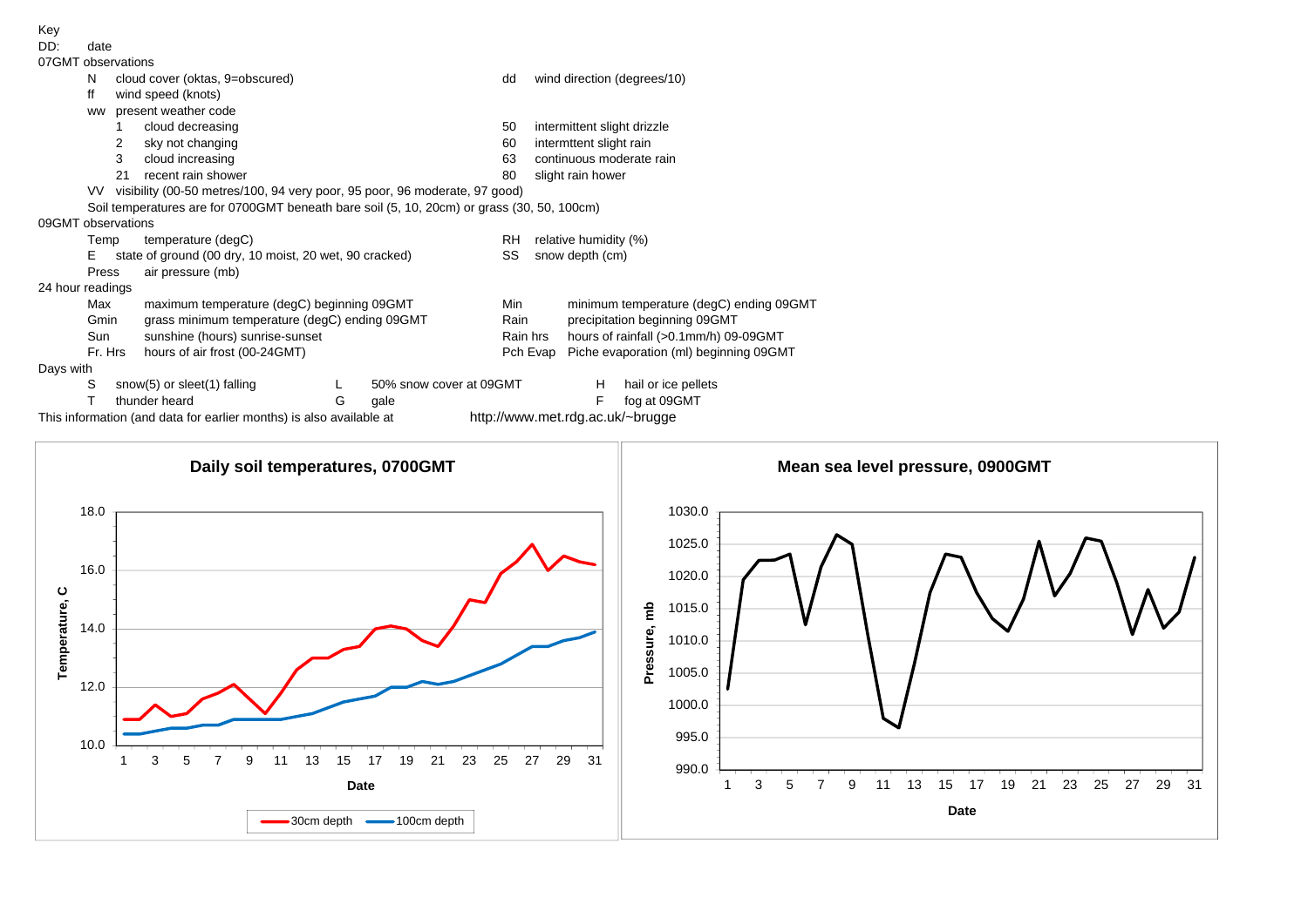

This information (and data for earlier months) is also available at http://www.met.rdg.ac.uk/~brugge